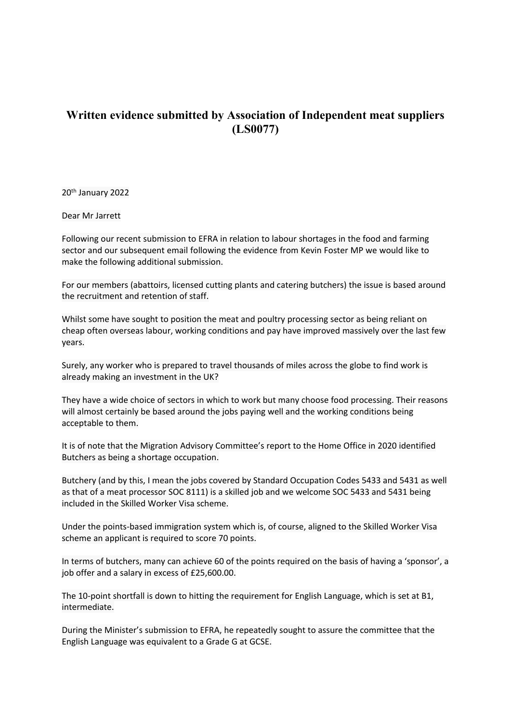## **Written evidence submitted by Association of Independent meat suppliers (LS0077)**

20th January 2022

Dear Mr Jarrett

Following our recent submission to EFRA in relation to labour shortages in the food and farming sector and our subsequent email following the evidence from Kevin Foster MP we would like to make the following additional submission.

For our members (abattoirs, licensed cutting plants and catering butchers) the issue is based around the recruitment and retention of staff.

Whilst some have sought to position the meat and poultry processing sector as being reliant on cheap often overseas labour, working conditions and pay have improved massively over the last few years.

Surely, any worker who is prepared to travel thousands of miles across the globe to find work is already making an investment in the UK?

They have a wide choice of sectors in which to work but many choose food processing. Their reasons will almost certainly be based around the jobs paying well and the working conditions being acceptable to them.

It is of note that the Migration Advisory Committee's report to the Home Office in 2020 identified Butchers as being a shortage occupation.

Butchery (and by this, I mean the jobs covered by Standard Occupation Codes 5433 and 5431 as well as that of a meat processor SOC 8111) is a skilled job and we welcome SOC 5433 and 5431 being included in the Skilled Worker Visa scheme.

Under the points-based immigration system which is, of course, aligned to the Skilled Worker Visa scheme an applicant is required to score 70 points.

In terms of butchers, many can achieve 60 of the points required on the basis of having a 'sponsor', a job offer and a salary in excess of £25,600.00.

The 10-point shortfall is down to hitting the requirement for English Language, which is set at B1, intermediate.

During the Minister's submission to EFRA, he repeatedly sought to assure the committee that the English Language was equivalent to a Grade G at GCSE.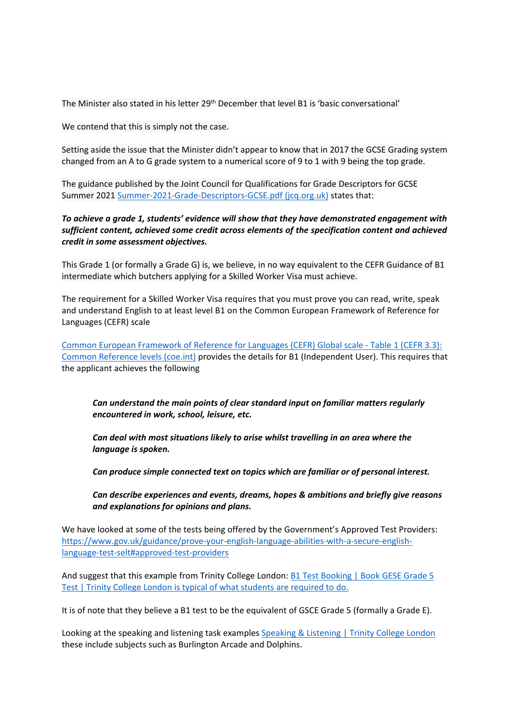The Minister also stated in his letter 29th December that level B1 is 'basic conversational'

We contend that this is simply not the case.

Setting aside the issue that the Minister didn't appear to know that in 2017 the GCSE Grading system changed from an A to G grade system to a numerical score of 9 to 1 with 9 being the top grade.

The guidance published by the Joint Council for Qualifications for Grade Descriptors for GCSE Summer 2021 [Summer-2021-Grade-Descriptors-GCSE.pdf](https://www.jcq.org.uk/wp-content/uploads/2021/04/Summer-2021-Grade-Descriptors-GCSE.pdf) [\(jcq.org.uk\)](https://www.jcq.org.uk/wp-content/uploads/2021/04/Summer-2021-Grade-Descriptors-GCSE.pdf) states that:

*To achieve a grade 1, students' evidence will show that they have demonstrated engagement with sufficient content, achieved some credit across elements of the specification content and achieved credit in some assessment objectives.*

This Grade 1 (or formally a Grade G) is, we believe, in no way equivalent to the CEFR Guidance of B1 intermediate which butchers applying for a Skilled Worker Visa must achieve.

The requirement for a Skilled Worker Visa requires that you must prove you can read, write, speak and understand English to at least level B1 on the Common European Framework of Reference for Languages (CEFR) scale

[Common](https://www.coe.int/en/web/common-european-framework-reference-languages) [European](https://www.coe.int/en/web/common-european-framework-reference-languages) [Framework](https://www.coe.int/en/web/common-european-framework-reference-languages) [of](https://www.coe.int/en/web/common-european-framework-reference-languages) [Reference](https://www.coe.int/en/web/common-european-framework-reference-languages) [for](https://www.coe.int/en/web/common-european-framework-reference-languages) [Languages](https://www.coe.int/en/web/common-european-framework-reference-languages) [\(CEFR\)](https://www.coe.int/en/web/common-european-framework-reference-languages) [Global](https://www.coe.int/en/web/common-european-framework-reference-languages/table-1-cefr-3.3-common-reference-levels-global-scale) [scale](https://www.coe.int/en/web/common-european-framework-reference-languages/table-1-cefr-3.3-common-reference-levels-global-scale) [-](https://www.coe.int/en/web/common-european-framework-reference-languages/table-1-cefr-3.3-common-reference-levels-global-scale) [Table](https://www.coe.int/en/web/common-european-framework-reference-languages/table-1-cefr-3.3-common-reference-levels-global-scale) [1](https://www.coe.int/en/web/common-european-framework-reference-languages/table-1-cefr-3.3-common-reference-levels-global-scale) [\(CEFR](https://www.coe.int/en/web/common-european-framework-reference-languages/table-1-cefr-3.3-common-reference-levels-global-scale) [3.3\):](https://www.coe.int/en/web/common-european-framework-reference-languages/table-1-cefr-3.3-common-reference-levels-global-scale) [Common](https://www.coe.int/en/web/common-european-framework-reference-languages/table-1-cefr-3.3-common-reference-levels-global-scale) [Reference](https://www.coe.int/en/web/common-european-framework-reference-languages/table-1-cefr-3.3-common-reference-levels-global-scale) [levels](https://www.coe.int/en/web/common-european-framework-reference-languages/table-1-cefr-3.3-common-reference-levels-global-scale) [\(coe.int\)](https://www.coe.int/en/web/common-european-framework-reference-languages/table-1-cefr-3.3-common-reference-levels-global-scale) provides the details for B1 (Independent User). This requires that the applicant achieves the following

*Can understand the main points of clear standard input on familiar matters regularly encountered in work, school, leisure, etc.*

*Can deal with most situations likely to arise whilst travelling in an area where the language is spoken.*

*Can produce simple connected text on topics which are familiar or of personal interest.*

*Can describe experiences and events, dreams, hopes & ambitions and briefly give reasons and explanations for opinions and plans.*

We have looked at some of the tests being offered by the Government's Approved Test Providers: [https://www.gov.uk/guidance/prove-your-english-language-abilities-with-a-secure-english](https://www.gov.uk/guidance/prove-your-english-language-abilities-with-a-secure-english-language-test-selt#approved-test-providers)[language-test-selt#approved-test-providers](https://www.gov.uk/guidance/prove-your-english-language-abilities-with-a-secure-english-language-test-selt#approved-test-providers)

And suggest that this example from Trinity College London: **[B1](https://www.trinitycollege.com/qualifications/SELT/UKVI/B1-GESE-grade-5/book-test-GESE-grade-5?utm_term&utm_campaign=Exam%2Blevels&utm_source=adwords&utm_medium=ppc&hsa_acc=3602471617&hsa_cam=11718237831&hsa_grp=120852283619&hsa_ad=513363418279&hsa_src=g&hsa_tgt=dsa-1220004338328&hsa_kw&hsa_mt&hsa_net=adwords&hsa_ver=3&gclid=CjwKCAiA55mPBhBOEiwANmzoQsw10UCddEn8ibILbnBCT66tpl7jvFK-2juka-6OqvNdYZpbwGkcjBoChtoQAvD_BwE) [Test](https://www.trinitycollege.com/qualifications/SELT/UKVI/B1-GESE-grade-5/book-test-GESE-grade-5?utm_term&utm_campaign=Exam%2Blevels&utm_source=adwords&utm_medium=ppc&hsa_acc=3602471617&hsa_cam=11718237831&hsa_grp=120852283619&hsa_ad=513363418279&hsa_src=g&hsa_tgt=dsa-1220004338328&hsa_kw&hsa_mt&hsa_net=adwords&hsa_ver=3&gclid=CjwKCAiA55mPBhBOEiwANmzoQsw10UCddEn8ibILbnBCT66tpl7jvFK-2juka-6OqvNdYZpbwGkcjBoChtoQAvD_BwE) [Booking](https://www.trinitycollege.com/qualifications/SELT/UKVI/B1-GESE-grade-5/book-test-GESE-grade-5?utm_term&utm_campaign=Exam%2Blevels&utm_source=adwords&utm_medium=ppc&hsa_acc=3602471617&hsa_cam=11718237831&hsa_grp=120852283619&hsa_ad=513363418279&hsa_src=g&hsa_tgt=dsa-1220004338328&hsa_kw&hsa_mt&hsa_net=adwords&hsa_ver=3&gclid=CjwKCAiA55mPBhBOEiwANmzoQsw10UCddEn8ibILbnBCT66tpl7jvFK-2juka-6OqvNdYZpbwGkcjBoChtoQAvD_BwE) [|](https://www.trinitycollege.com/qualifications/SELT/UKVI/B1-GESE-grade-5/book-test-GESE-grade-5?utm_term&utm_campaign=Exam%2Blevels&utm_source=adwords&utm_medium=ppc&hsa_acc=3602471617&hsa_cam=11718237831&hsa_grp=120852283619&hsa_ad=513363418279&hsa_src=g&hsa_tgt=dsa-1220004338328&hsa_kw&hsa_mt&hsa_net=adwords&hsa_ver=3&gclid=CjwKCAiA55mPBhBOEiwANmzoQsw10UCddEn8ibILbnBCT66tpl7jvFK-2juka-6OqvNdYZpbwGkcjBoChtoQAvD_BwE) [Book](https://www.trinitycollege.com/qualifications/SELT/UKVI/B1-GESE-grade-5/book-test-GESE-grade-5?utm_term&utm_campaign=Exam%2Blevels&utm_source=adwords&utm_medium=ppc&hsa_acc=3602471617&hsa_cam=11718237831&hsa_grp=120852283619&hsa_ad=513363418279&hsa_src=g&hsa_tgt=dsa-1220004338328&hsa_kw&hsa_mt&hsa_net=adwords&hsa_ver=3&gclid=CjwKCAiA55mPBhBOEiwANmzoQsw10UCddEn8ibILbnBCT66tpl7jvFK-2juka-6OqvNdYZpbwGkcjBoChtoQAvD_BwE) [GESE](https://www.trinitycollege.com/qualifications/SELT/UKVI/B1-GESE-grade-5/book-test-GESE-grade-5?utm_term&utm_campaign=Exam%2Blevels&utm_source=adwords&utm_medium=ppc&hsa_acc=3602471617&hsa_cam=11718237831&hsa_grp=120852283619&hsa_ad=513363418279&hsa_src=g&hsa_tgt=dsa-1220004338328&hsa_kw&hsa_mt&hsa_net=adwords&hsa_ver=3&gclid=CjwKCAiA55mPBhBOEiwANmzoQsw10UCddEn8ibILbnBCT66tpl7jvFK-2juka-6OqvNdYZpbwGkcjBoChtoQAvD_BwE) [Grade](https://www.trinitycollege.com/qualifications/SELT/UKVI/B1-GESE-grade-5/book-test-GESE-grade-5?utm_term&utm_campaign=Exam%2Blevels&utm_source=adwords&utm_medium=ppc&hsa_acc=3602471617&hsa_cam=11718237831&hsa_grp=120852283619&hsa_ad=513363418279&hsa_src=g&hsa_tgt=dsa-1220004338328&hsa_kw&hsa_mt&hsa_net=adwords&hsa_ver=3&gclid=CjwKCAiA55mPBhBOEiwANmzoQsw10UCddEn8ibILbnBCT66tpl7jvFK-2juka-6OqvNdYZpbwGkcjBoChtoQAvD_BwE) [5](https://www.trinitycollege.com/qualifications/SELT/UKVI/B1-GESE-grade-5/book-test-GESE-grade-5?utm_term&utm_campaign=Exam%2Blevels&utm_source=adwords&utm_medium=ppc&hsa_acc=3602471617&hsa_cam=11718237831&hsa_grp=120852283619&hsa_ad=513363418279&hsa_src=g&hsa_tgt=dsa-1220004338328&hsa_kw&hsa_mt&hsa_net=adwords&hsa_ver=3&gclid=CjwKCAiA55mPBhBOEiwANmzoQsw10UCddEn8ibILbnBCT66tpl7jvFK-2juka-6OqvNdYZpbwGkcjBoChtoQAvD_BwE)** [Test](https://www.trinitycollege.com/qualifications/SELT/UKVI/B1-GESE-grade-5/book-test-GESE-grade-5?utm_term&utm_campaign=Exam%2Blevels&utm_source=adwords&utm_medium=ppc&hsa_acc=3602471617&hsa_cam=11718237831&hsa_grp=120852283619&hsa_ad=513363418279&hsa_src=g&hsa_tgt=dsa-1220004338328&hsa_kw&hsa_mt&hsa_net=adwords&hsa_ver=3&gclid=CjwKCAiA55mPBhBOEiwANmzoQsw10UCddEn8ibILbnBCT66tpl7jvFK-2juka-6OqvNdYZpbwGkcjBoChtoQAvD_BwE) [|](https://www.trinitycollege.com/qualifications/SELT/UKVI/B1-GESE-grade-5/book-test-GESE-grade-5?utm_term&utm_campaign=Exam%2Blevels&utm_source=adwords&utm_medium=ppc&hsa_acc=3602471617&hsa_cam=11718237831&hsa_grp=120852283619&hsa_ad=513363418279&hsa_src=g&hsa_tgt=dsa-1220004338328&hsa_kw&hsa_mt&hsa_net=adwords&hsa_ver=3&gclid=CjwKCAiA55mPBhBOEiwANmzoQsw10UCddEn8ibILbnBCT66tpl7jvFK-2juka-6OqvNdYZpbwGkcjBoChtoQAvD_BwE) [Trinity](https://www.trinitycollege.com/qualifications/SELT/UKVI/B1-GESE-grade-5/book-test-GESE-grade-5?utm_term&utm_campaign=Exam%2Blevels&utm_source=adwords&utm_medium=ppc&hsa_acc=3602471617&hsa_cam=11718237831&hsa_grp=120852283619&hsa_ad=513363418279&hsa_src=g&hsa_tgt=dsa-1220004338328&hsa_kw&hsa_mt&hsa_net=adwords&hsa_ver=3&gclid=CjwKCAiA55mPBhBOEiwANmzoQsw10UCddEn8ibILbnBCT66tpl7jvFK-2juka-6OqvNdYZpbwGkcjBoChtoQAvD_BwE) [College](https://www.trinitycollege.com/qualifications/SELT/UKVI/B1-GESE-grade-5/book-test-GESE-grade-5?utm_term&utm_campaign=Exam%2Blevels&utm_source=adwords&utm_medium=ppc&hsa_acc=3602471617&hsa_cam=11718237831&hsa_grp=120852283619&hsa_ad=513363418279&hsa_src=g&hsa_tgt=dsa-1220004338328&hsa_kw&hsa_mt&hsa_net=adwords&hsa_ver=3&gclid=CjwKCAiA55mPBhBOEiwANmzoQsw10UCddEn8ibILbnBCT66tpl7jvFK-2juka-6OqvNdYZpbwGkcjBoChtoQAvD_BwE) [London](https://www.trinitycollege.com/qualifications/SELT/UKVI/B1-GESE-grade-5/book-test-GESE-grade-5?utm_term&utm_campaign=Exam%2Blevels&utm_source=adwords&utm_medium=ppc&hsa_acc=3602471617&hsa_cam=11718237831&hsa_grp=120852283619&hsa_ad=513363418279&hsa_src=g&hsa_tgt=dsa-1220004338328&hsa_kw&hsa_mt&hsa_net=adwords&hsa_ver=3&gclid=CjwKCAiA55mPBhBOEiwANmzoQsw10UCddEn8ibILbnBCT66tpl7jvFK-2juka-6OqvNdYZpbwGkcjBoChtoQAvD_BwE) is typical of what students are required to do.

It is of note that they believe a B1 test to be the equivalent of GSCE Grade 5 (formally a Grade E).

Looking at the speaking and listening task examples [Speaking](https://www.trinitycollege.com/qualifications/SELT/UKVI/B1-ISE-I/prepare-ISE-I/speaking-listening) [&](https://www.trinitycollege.com/qualifications/SELT/UKVI/B1-ISE-I/prepare-ISE-I/speaking-listening) [Listening](https://www.trinitycollege.com/qualifications/SELT/UKVI/B1-ISE-I/prepare-ISE-I/speaking-listening) [|](https://www.trinitycollege.com/qualifications/SELT/UKVI/B1-ISE-I/prepare-ISE-I/speaking-listening) [Trinity](https://www.trinitycollege.com/qualifications/SELT/UKVI/B1-ISE-I/prepare-ISE-I/speaking-listening) [College](https://www.trinitycollege.com/qualifications/SELT/UKVI/B1-ISE-I/prepare-ISE-I/speaking-listening) [London](https://www.trinitycollege.com/qualifications/SELT/UKVI/B1-ISE-I/prepare-ISE-I/speaking-listening) these include subjects such as Burlington Arcade and Dolphins.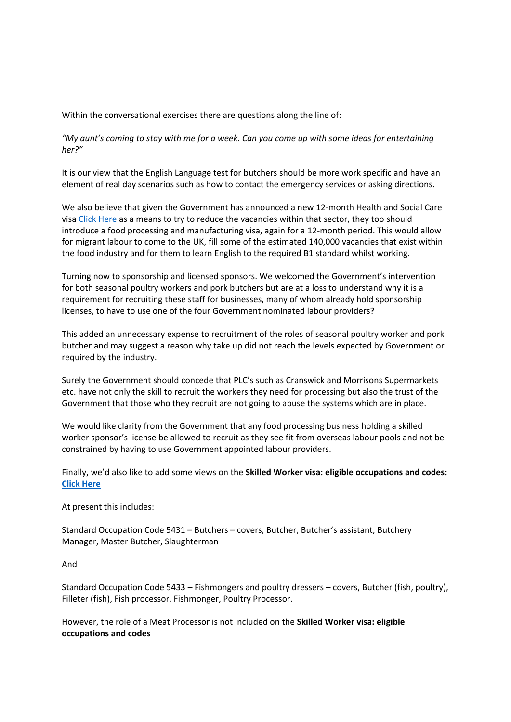Within the conversational exercises there are questions along the line of:

"My aunt's coming to stay with me for a week. Can you come up with some ideas for entertaining *her?"*

It is our view that the English Language test for butchers should be more work specific and have an element of real day scenarios such as how to contact the emergency services or asking directions.

We also believe that given the Government has announced a new 12-month Health and Social Care visa [Click](https://www.gov.uk/government/news/biggest-visa-boost-for-social-care-as-health-and-care-visa-scheme-expanded) [Here](https://www.gov.uk/government/news/biggest-visa-boost-for-social-care-as-health-and-care-visa-scheme-expanded) [a](https://www.gov.uk/government/news/biggest-visa-boost-for-social-care-as-health-and-care-visa-scheme-expanded)s a means to try to reduce the vacancies within that sector, they too should introduce a food processing and manufacturing visa, again for a 12-month period. This would allow for migrant labour to come to the UK, fill some of the estimated 140,000 vacancies that exist within the food industry and for them to learn English to the required B1 standard whilst working.

Turning now to sponsorship and licensed sponsors. We welcomed the Government's intervention for both seasonal poultry workers and pork butchers but are at a loss to understand why it is a requirement for recruiting these staff for businesses, many of whom already hold sponsorship licenses, to have to use one of the four Government nominated labour providers?

This added an unnecessary expense to recruitment of the roles of seasonal poultry worker and pork butcher and may suggest a reason why take up did not reach the levels expected by Government or required by the industry.

Surely the Government should concede that PLC's such as Cranswick and Morrisons Supermarkets etc. have not only the skill to recruit the workers they need for processing but also the trust of the Government that those who they recruit are not going to abuse the systems which are in place.

We would like clarity from the Government that any food processing business holding a skilled worker sponsor's license be allowed to recruit as they see fit from overseas labour pools and not be constrained by having to use Government appointed labour providers.

Finally, we'd also like to add some views on the **Skilled Worker visa: eligible occupations and codes: [Click](https://www.gov.uk/government/publications/skilled-worker-visa-eligible-occupations/skilled-worker-visa-eligible-occupations-and-codes) [Here](https://www.gov.uk/government/publications/skilled-worker-visa-eligible-occupations/skilled-worker-visa-eligible-occupations-and-codes)**

At present this includes:

Standard Occupation Code 5431 – Butchers – covers, Butcher, Butcher's assistant, Butchery Manager, Master Butcher, Slaughterman

And

Standard Occupation Code 5433 – Fishmongers and poultry dressers – covers, Butcher (fish, poultry), Filleter (fish), Fish processor, Fishmonger, Poultry Processor.

However, the role of a Meat Processor is not included on the **Skilled Worker visa: eligible occupations and codes**